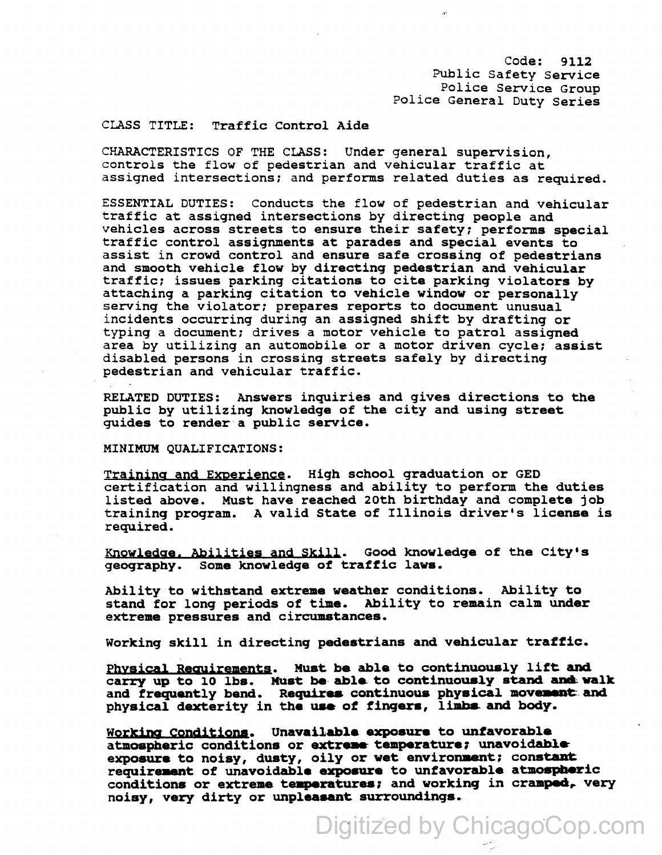Code: 9112 Public Safety Service Police Service Group Police General Duty Series

## CIASS TITLE: Traffic Control Aide

CHARACTERISTICS OF THE CIASS: Under general supervision, controls the flow of pedestrian and vehicular traffic at assigned intersections; and performs related duties as required.

ESSENTIAL DUTIES: Conducts the flow of pedestrian and vehicular traffic at assigned intersections by directing people and vehicles across streets to ensure their safety; performs special traffic control assignments at parades and special events to assist in crowd control and ensure safe crossing of pedestrians and smooth vehicle flow by directing pedestrian and vehicular traffic; issues parking citations to cite parking violators by attaching a parking citation to vehicle window or personally serving the violator; prepares reports to document unusual incidents occurring during an assigned shift by drafting or typing a document; drives a motor vehicle to patrol assigned area by utilizing an automobile or a motor driven cycle; assist disabled persons in crossing streets safely by directing pedestrian and vehicular traffic.

RELATED DUTIES: Answers inquiries and gives directions to the public by utilizing knowledge of the city and using street guides to render a public service.

MINIMUM QUALIFICATIONS:

Training and Experience. High school graduation or GED certification and willingness and ability to perform the duties listed above. Must have reached 20th birthday and complete job training program. A valid State of Illinois driver's license is required.

Knowledge, Abilities and Skill. Good knowledge of the City's NIOWIEGGE. ARIILLES GAM DAILL. GOOD ANOWIE

Ability to withstand extreme weather conditions. Ability to stand for long periods of time. Ability to remain calm under extreme pressures and circumstances.

Working skill in directing pedestrians and vehicular traffic.

Physical Requirements. Must be able to continuously lift and carry up to 10 lbs. Must be able to continuously stand and walk and frequently bend. Requires continuous physical movement and physical dexterity in the use of finqera, limbs and body.

Working Conditions. Unavailable exposure to unfavorable atmospheric conditions or extreme temperature; unavoidable exposure to noisy, dusty, oily or wet environment; constant requirement of unavoidable exposure to unfavorable atmospheric conditions or extreme temperatures; and working in cramped, very noisy, very dirty or unpleasant surroundings.

Digitized by ChicagoCop.com